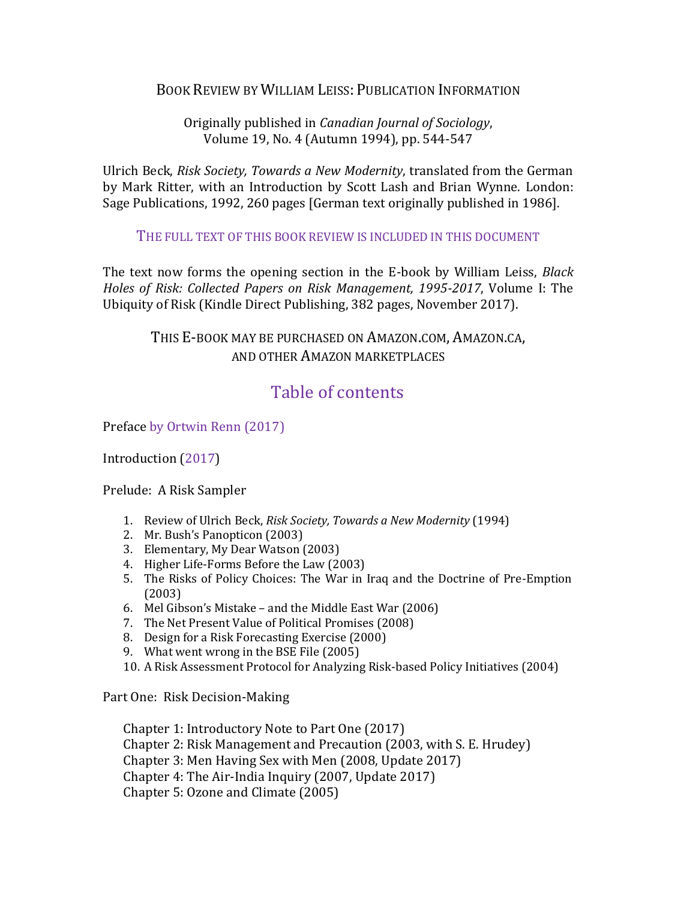## BOOK REVIEW BY WILLIAM LEISS: PUBLICATION INFORMATION

Originally published in *Canadian Journal of Sociology*, Volume 19, No. 4 (Autumn 1994), pp. 544-547

Ulrich Beck, *Risk Society, Towards a New Modernity*, translated from the German by Mark Ritter, with an Introduction by Scott Lash and Brian Wynne. London: Sage Publications, 1992, 260 pages [German text originally published in 1986].

THE FULL TEXT OF THIS BOOK REVIEW IS INCLUDED IN THIS DOCUMENT

The text now forms the opening section in the E-book by William Leiss, *Black Holes of Risk: Collected Papers on Risk Management, 1995-2017*, Volume I: The Ubiquity of Risk (Kindle Direct Publishing, 382 pages, November 2017).

> THIS E-BOOK MAY BE PURCHASED ON AMAZON.COM, AMAZON.CA, AND OTHER AMAZON MARKETPLACES

## Table of contents

Preface by Ortwin Renn (2017)

Introduction (2017)

Prelude: A Risk Sampler

- 1. Review of Ulrich Beck, *Risk Society, Towards a New Modernity* (1994)
- 2. Mr. Bush's Panopticon (2003)
- 3. Elementary, My Dear Watson (2003)
- 4. Higher Life-Forms Before the Law (2003)
- 5. The Risks of Policy Choices: The War in Iraq and the Doctrine of Pre-Emption (2003)
- 6. Mel Gibson's Mistake and the Middle East War (2006)
- 7. The Net Present Value of Political Promises (2008)
- 8. Design for a Risk Forecasting Exercise (2000)
- 9. What went wrong in the BSE File (2005)
- 10. A Risk Assessment Protocol for Analyzing Risk-based Policy Initiatives (2004)

Part One: Risk Decision-Making

Chapter 1: Introductory Note to Part One (2017) Chapter 2: Risk Management and Precaution (2003, with S. E. Hrudey) Chapter 3: Men Having Sex with Men (2008, Update 2017) Chapter 4: The Air-India Inquiry (2007, Update 2017) Chapter 5: Ozone and Climate (2005)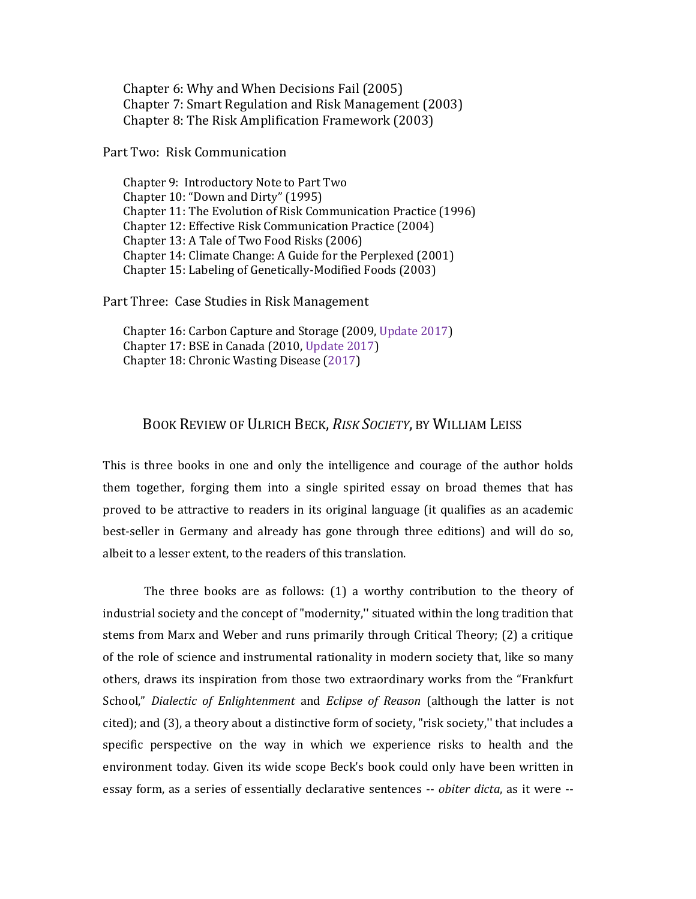Chapter 6: Why and When Decisions Fail (2005) Chapter 7: Smart Regulation and Risk Management (2003) Chapter 8: The Risk Amplification Framework (2003)

Part Two: Risk Communication

Chapter 9: Introductory Note to Part Two Chapter 10: "Down and Dirty" (1995) Chapter 11: The Evolution of Risk Communication Practice (1996) Chapter 12: Effective Risk Communication Practice (2004) Chapter 13: A Tale of Two Food Risks (2006) Chapter 14: Climate Change: A Guide for the Perplexed (2001) Chapter 15: Labeling of Genetically-Modified Foods (2003)

Part Three: Case Studies in Risk Management

Chapter 16: Carbon Capture and Storage (2009, Update 2017) Chapter 17: BSE in Canada (2010, Update 2017) Chapter 18: Chronic Wasting Disease (2017)

## BOOK REVIEW OF ULRICH BECK, *RISK SOCIETY*, BY WILLIAM LEISS

This is three books in one and only the intelligence and courage of the author holds them together, forging them into a single spirited essay on broad themes that has proved to be attractive to readers in its original language (it qualifies as an academic best-seller in Germany and already has gone through three editions) and will do so, albeit to a lesser extent, to the readers of this translation.

The three books are as follows: (1) a worthy contribution to the theory of industrial society and the concept of "modernity,'' situated within the long tradition that stems from Marx and Weber and runs primarily through Critical Theory; (2) a critique of the role of science and instrumental rationality in modern society that, like so many others, draws its inspiration from those two extraordinary works from the "Frankfurt School," *Dialectic of Enlightenment* and *Eclipse of Reason* (although the latter is not cited); and (3), a theory about a distinctive form of society, "risk society,'' that includes a specific perspective on the way in which we experience risks to health and the environment today. Given its wide scope Beck's book could only have been written in essay form, as a series of essentially declarative sentences -- *obiter dicta*, as it were --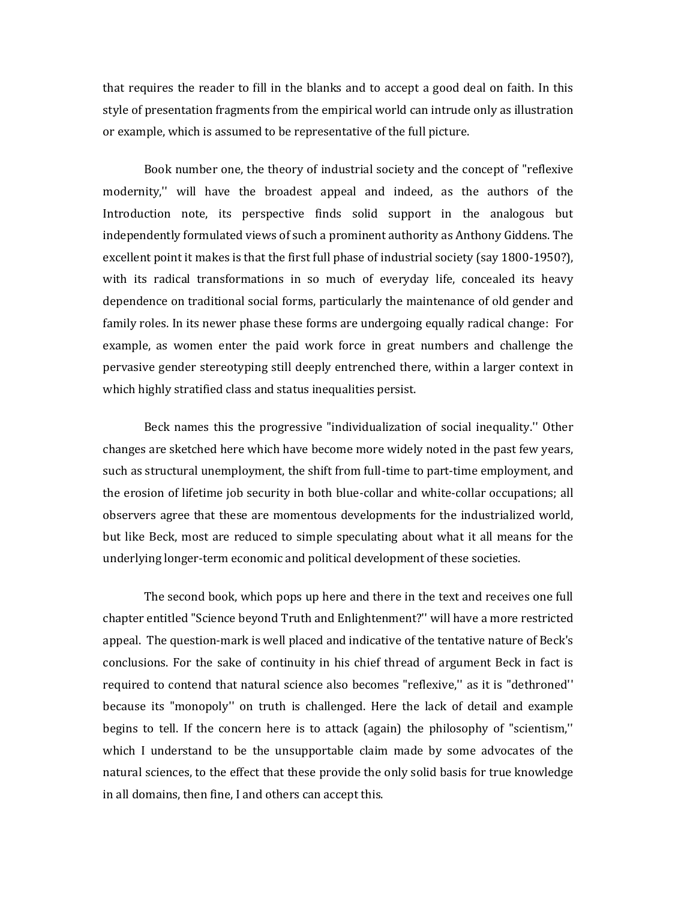that requires the reader to fill in the blanks and to accept a good deal on faith. In this style of presentation fragments from the empirical world can intrude only as illustration or example, which is assumed to be representative of the full picture.

Book number one, the theory of industrial society and the concept of "reflexive modernity,'' will have the broadest appeal and indeed, as the authors of the Introduction note, its perspective finds solid support in the analogous but independently formulated views of such a prominent authority as Anthony Giddens. The excellent point it makes is that the first full phase of industrial society (say 1800-1950?), with its radical transformations in so much of everyday life, concealed its heavy dependence on traditional social forms, particularly the maintenance of old gender and family roles. In its newer phase these forms are undergoing equally radical change: For example, as women enter the paid work force in great numbers and challenge the pervasive gender stereotyping still deeply entrenched there, within a larger context in which highly stratified class and status inequalities persist.

Beck names this the progressive "individualization of social inequality.'' Other changes are sketched here which have become more widely noted in the past few years, such as structural unemployment, the shift from full-time to part-time employment, and the erosion of lifetime job security in both blue-collar and white-collar occupations; all observers agree that these are momentous developments for the industrialized world, but like Beck, most are reduced to simple speculating about what it all means for the underlying longer-term economic and political development of these societies.

The second book, which pops up here and there in the text and receives one full chapter entitled "Science beyond Truth and Enlightenment?'' will have a more restricted appeal. The question-mark is well placed and indicative of the tentative nature of Beck's conclusions. For the sake of continuity in his chief thread of argument Beck in fact is required to contend that natural science also becomes "reflexive,'' as it is "dethroned'' because its "monopoly'' on truth is challenged. Here the lack of detail and example begins to tell. If the concern here is to attack (again) the philosophy of "scientism,'' which I understand to be the unsupportable claim made by some advocates of the natural sciences, to the effect that these provide the only solid basis for true knowledge in all domains, then fine, I and others can accept this.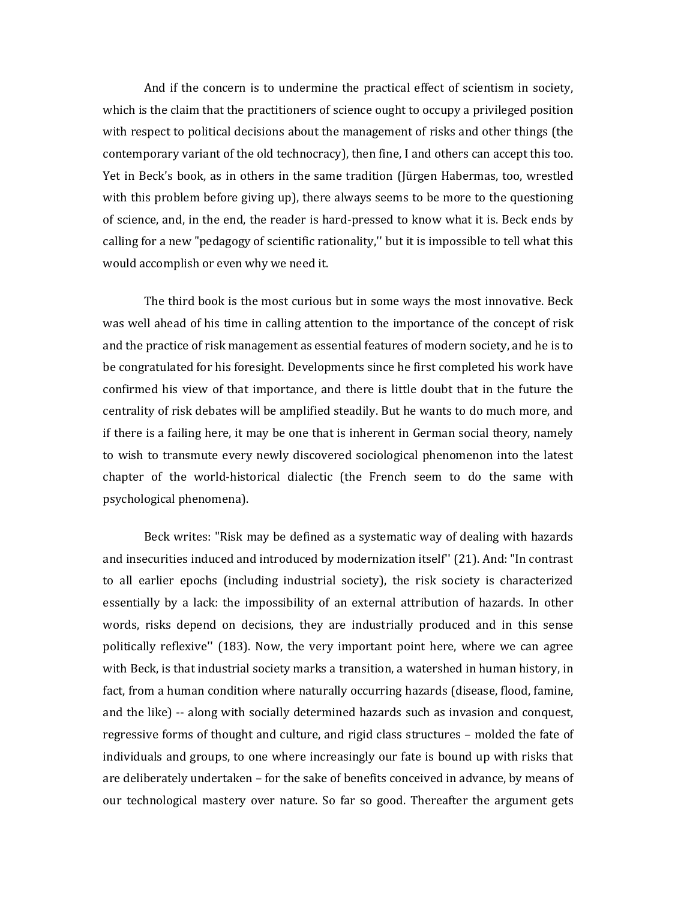And if the concern is to undermine the practical effect of scientism in society, which is the claim that the practitioners of science ought to occupy a privileged position with respect to political decisions about the management of risks and other things (the contemporary variant of the old technocracy), then fine, I and others can accept this too. Yet in Beck's book, as in others in the same tradition (Jürgen Habermas, too, wrestled with this problem before giving up), there always seems to be more to the questioning of science, and, in the end, the reader is hard-pressed to know what it is. Beck ends by calling for a new "pedagogy of scientific rationality,'' but it is impossible to tell what this would accomplish or even why we need it.

The third book is the most curious but in some ways the most innovative. Beck was well ahead of his time in calling attention to the importance of the concept of risk and the practice of risk management as essential features of modern society, and he is to be congratulated for his foresight. Developments since he first completed his work have confirmed his view of that importance, and there is little doubt that in the future the centrality of risk debates will be amplified steadily. But he wants to do much more, and if there is a failing here, it may be one that is inherent in German social theory, namely to wish to transmute every newly discovered sociological phenomenon into the latest chapter of the world-historical dialectic (the French seem to do the same with psychological phenomena).

Beck writes: "Risk may be defined as a systematic way of dealing with hazards and insecurities induced and introduced by modernization itself'' (21). And: "In contrast to all earlier epochs (including industrial society), the risk society is characterized essentially by a lack: the impossibility of an external attribution of hazards. In other words, risks depend on decisions, they are industrially produced and in this sense politically reflexive'' (183). Now, the very important point here, where we can agree with Beck, is that industrial society marks a transition, a watershed in human history, in fact, from a human condition where naturally occurring hazards (disease, flood, famine, and the like) -- along with socially determined hazards such as invasion and conquest, regressive forms of thought and culture, and rigid class structures – molded the fate of individuals and groups, to one where increasingly our fate is bound up with risks that are deliberately undertaken – for the sake of benefits conceived in advance, by means of our technological mastery over nature. So far so good. Thereafter the argument gets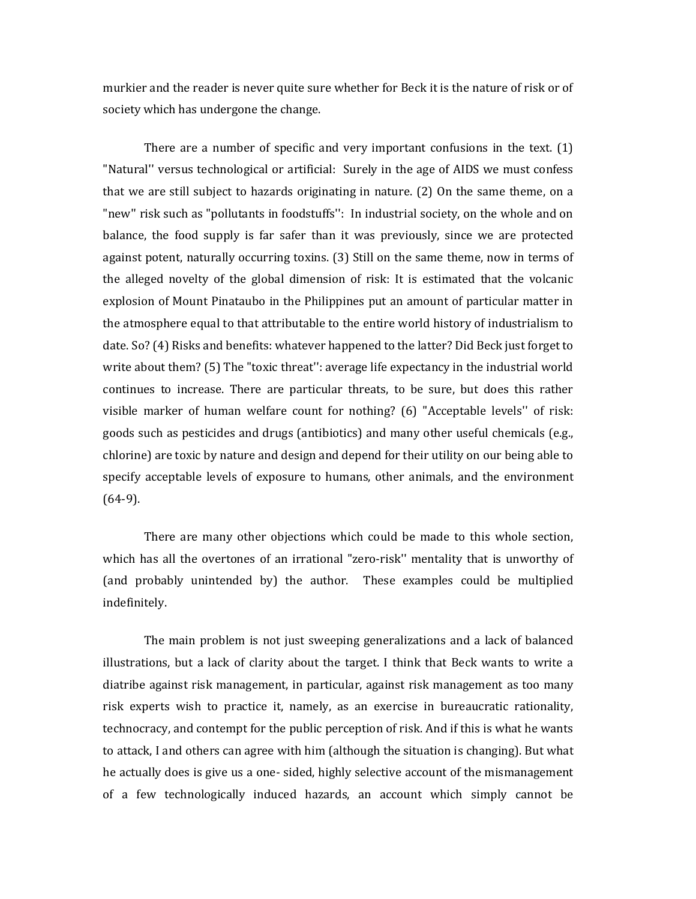murkier and the reader is never quite sure whether for Beck it is the nature of risk or of society which has undergone the change.

There are a number of specific and very important confusions in the text. (1) "Natural'' versus technological or artificial: Surely in the age of AIDS we must confess that we are still subject to hazards originating in nature. (2) On the same theme, on a "new'' risk such as "pollutants in foodstuffs'': In industrial society, on the whole and on balance, the food supply is far safer than it was previously, since we are protected against potent, naturally occurring toxins. (3) Still on the same theme, now in terms of the alleged novelty of the global dimension of risk: It is estimated that the volcanic explosion of Mount Pinataubo in the Philippines put an amount of particular matter in the atmosphere equal to that attributable to the entire world history of industrialism to date. So? (4) Risks and benefits: whatever happened to the latter? Did Beck just forget to write about them? (5) The "toxic threat'': average life expectancy in the industrial world continues to increase. There are particular threats, to be sure, but does this rather visible marker of human welfare count for nothing? (6) "Acceptable levels'' of risk: goods such as pesticides and drugs (antibiotics) and many other useful chemicals (e.g., chlorine) are toxic by nature and design and depend for their utility on our being able to specify acceptable levels of exposure to humans, other animals, and the environment (64-9).

There are many other objections which could be made to this whole section, which has all the overtones of an irrational "zero-risk'' mentality that is unworthy of (and probably unintended by) the author. These examples could be multiplied indefinitely.

The main problem is not just sweeping generalizations and a lack of balanced illustrations, but a lack of clarity about the target. I think that Beck wants to write a diatribe against risk management, in particular, against risk management as too many risk experts wish to practice it, namely, as an exercise in bureaucratic rationality, technocracy, and contempt for the public perception of risk. And if this is what he wants to attack, I and others can agree with him (although the situation is changing). But what he actually does is give us a one- sided, highly selective account of the mismanagement of a few technologically induced hazards, an account which simply cannot be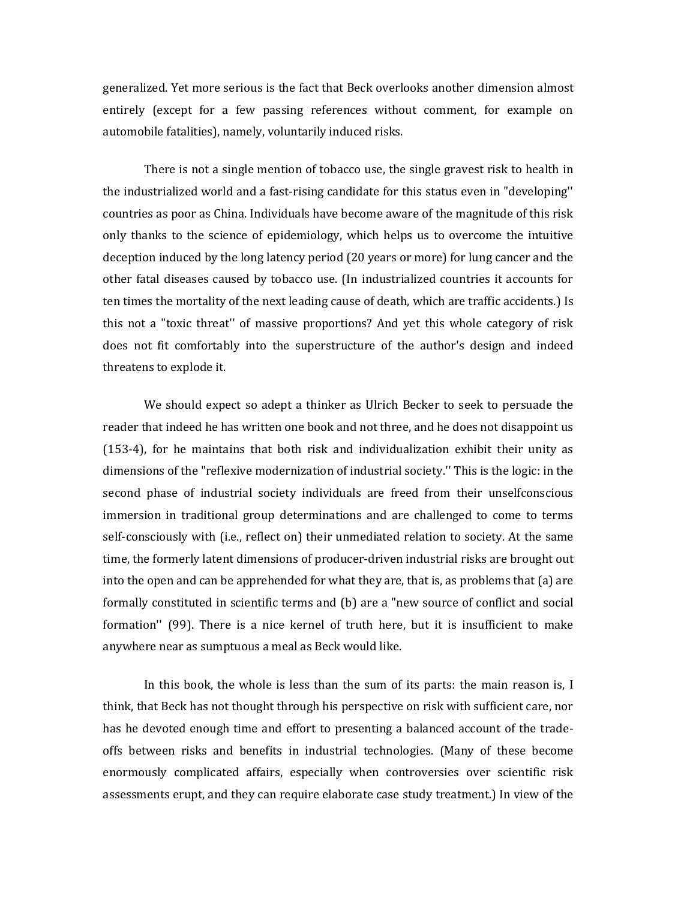generalized. Yet more serious is the fact that Beck overlooks another dimension almost entirely (except for a few passing references without comment, for example on automobile fatalities), namely, voluntarily induced risks.

There is not a single mention of tobacco use, the single gravest risk to health in the industrialized world and a fast-rising candidate for this status even in "developing'' countries as poor as China. Individuals have become aware of the magnitude of this risk only thanks to the science of epidemiology, which helps us to overcome the intuitive deception induced by the long latency period (20 years or more) for lung cancer and the other fatal diseases caused by tobacco use. (In industrialized countries it accounts for ten times the mortality of the next leading cause of death, which are traffic accidents.) Is this not a "toxic threat'' of massive proportions? And yet this whole category of risk does not fit comfortably into the superstructure of the author's design and indeed threatens to explode it.

We should expect so adept a thinker as Ulrich Becker to seek to persuade the reader that indeed he has written one book and not three, and he does not disappoint us (153-4), for he maintains that both risk and individualization exhibit their unity as dimensions of the "reflexive modernization of industrial society.'' This is the logic: in the second phase of industrial society individuals are freed from their unselfconscious immersion in traditional group determinations and are challenged to come to terms self-consciously with (i.e., reflect on) their unmediated relation to society. At the same time, the formerly latent dimensions of producer-driven industrial risks are brought out into the open and can be apprehended for what they are, that is, as problems that (a) are formally constituted in scientific terms and (b) are a "new source of conflict and social formation'' (99). There is a nice kernel of truth here, but it is insufficient to make anywhere near as sumptuous a meal as Beck would like.

In this book, the whole is less than the sum of its parts: the main reason is, I think, that Beck has not thought through his perspective on risk with sufficient care, nor has he devoted enough time and effort to presenting a balanced account of the tradeoffs between risks and benefits in industrial technologies. (Many of these become enormously complicated affairs, especially when controversies over scientific risk assessments erupt, and they can require elaborate case study treatment.) In view of the